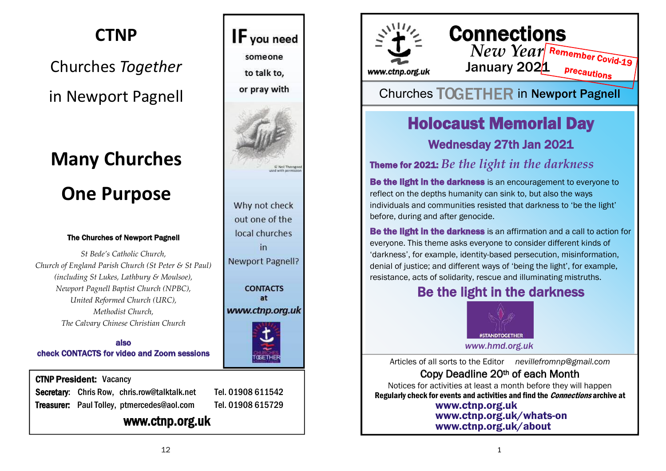## **CTNP**

# Churches *Together* in Newport Pagnell

# **Many Churches One Purpose**

#### The Churches of Newport Pagnell

*St Bede's Catholic Church Church of England Parish Church (St Peter & St Paul) (including St Lukes, Lathbury & Moulsoe), Newport Pagnell Baptist Church (NPBC) United Reformed Church (URC) Methodist Church The Calvary Chinese Christian Church*

also check CONTACTS for video and Zoom sessions

#### CTNP President: Vacancy Secretary: Chris Row, chris.row@talktalk.net Tel. 01908 611542 Treasurer: Paul Tolley, ptmercedes@aol.com Tel. 01908 615729

**COETHE** 

## www.ctnp.org.uk



 $IF$  you need

someone

**Connections** *www.ctnp.org.uk*

January 2021 *New Year* Remember Covid-19

**Precautions** 

## Churches TOGETHER in Newport Pagnell

## Holocaust Memorial Day Wednesday 27th Jan 2021

### Theme for 2021: *Be the light in the darkness*

Be the light in the darkness is an encouragement to everyone to reflect on the depths humanity can sink to, but also the ways individuals and communities resisted that darkness to 'be the light' before, during and after genocide.

Be the light in the darkness is an affirmation and a call to action for everyone. This theme asks everyone to consider different kinds of 'darkness', for example, identity-based persecution, misinformation, denial of justice; and different ways of 'being the light', for example, resistance, acts of solidarity, rescue and illuminating mistruths.

## Be the light in the darkness



Articles of all sorts to the Editor *[nevillefromnp@gmail.com](mailto:nevillefromnp@gmail.com)*

Copy Deadline 20th of each Month Notices for activities at least a month before they will happen Regularly check for events and activities and find the Connections archive at www.ctnp.org.uk

www.ctnp.org.uk/whats-on www.ctnp.org.uk/about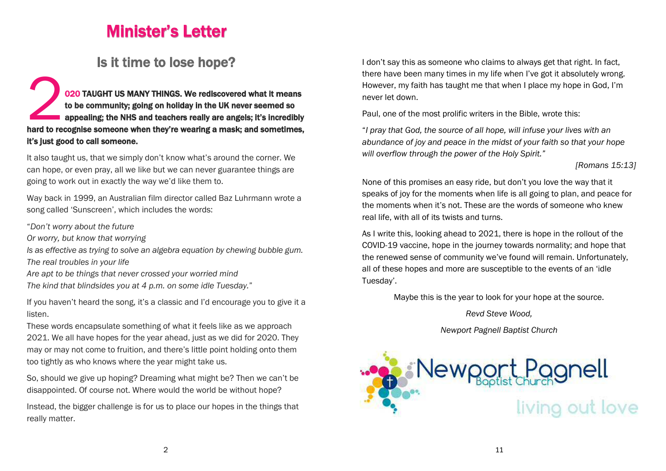## Minister's Letter

### Is it time to lose hope?

020 TAUGHT US MANY THINGS. We rediscovered what it means<br>to be community; going on holiday in the UK never seemed so<br>appealing; the NHS and teachers really are angels; it's incredibly<br>hard to recognise someone when they're to be community; going on holiday in the UK never seemed so appealing; the NHS and teachers really are angels; it's incredibly hard to recognise someone when they're wearing a mask; and sometimes, it's just good to call someone.

It also taught us, that we simply don't know what's around the corner. We can hope, or even pray, all we like but we can never guarantee things are going to work out in exactly the way we'd like them to.

Way back in 1999, an Australian film director called Baz Luhrmann wrote a song called 'Sunscreen', which includes the words:

"*Don't worry about the future*

*Or worry, but know that worrying*

*Is as effective as trying to solve an algebra equation by chewing bubble gum. The real troubles in your life*

*Are apt to be things that never crossed your worried mind The kind that blindsides you at 4 p.m. on some idle Tuesday.*"

If you haven't heard the song, it's a classic and I'd encourage you to give it a listen.

These words encapsulate something of what it feels like as we approach 2021. We all have hopes for the year ahead, just as we did for 2020. They may or may not come to fruition, and there's little point holding onto them too tightly as who knows where the year might take us.

So, should we give up hoping? Dreaming what might be? Then we can't be disappointed. Of course not. Where would the world be without hope?

Instead, the bigger challenge is for us to place our hopes in the things that really matter.

I don't say this as someone who claims to always get that right. In fact, there have been many times in my life when I've got it absolutely wrong. However, my faith has taught me that when I place my hope in God, I'm never let down.

Paul, one of the most prolific writers in the Bible, wrote this:

"*I pray that God, the source of all hope, will infuse your lives with an abundance of joy and peace in the midst of your faith so that your hope will overflow through the power of the Holy Spirit."*

*[Romans 15:13]*

None of this promises an easy ride, but don't you love the way that it speaks of joy for the moments when life is all going to plan, and peace for the moments when it's not. These are the words of someone who knew real life, with all of its twists and turns.

As I write this, looking ahead to 2021, there is hope in the rollout of the COVID-19 vaccine, hope in the journey towards normality; and hope that the renewed sense of community we've found will remain. Unfortunately, all of these hopes and more are susceptible to the events of an 'idle Tuesday'.

Maybe this is the year to look for your hope at the source.

*Revd Steve Wood,*

*Newport Pagnell Baptist Church*

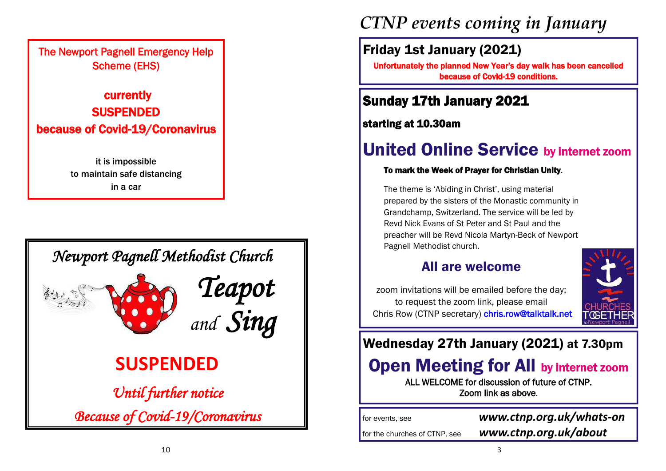#### The Newport Pagnell Emergency Help Scheme (EHS)

## currently SUSPENDED because of Covid-19/Coronavirus

it is impossible to maintain safe distancing in a car



## *CTNP events coming in January*

## Friday 1st January (2021)

Unfortunately the planned New Year's day walk has been cancelled because of Covid-19 conditions.

## Sunday 17th January 2021

#### starting at 10.30am

## United Online Service by internet zoom

#### To mark the Week of Prayer for Christian Unity.

The theme is 'Abiding in Christ', using material prepared by the sisters of the Monastic community in Grandchamp, Switzerland. The service will be led by Revd Nick Evans of St Peter and St Paul and the preacher will be Revd Nicola Martyn-Beck of Newport Pagnell Methodist church.

## All are welcome

zoom invitations will be emailed before the day; to request the zoom link, please email Chris Row (CTNP secretary) [chris.row@talktalk.net](mailto:chris.row@talktalk.net?subject=CTNP%20United%20online%20service%2017th%20January%202020)



## Wednesday 27th January (2021) at 7.30pm

**Open Meeting for All by internet zoom** 

ALL WELCOME for discussion of future of CTNP. Zoom link as above.

for events, see *www.ctnp.org.uk/whats-on* for the churches of CTNP, see *www.ctnp.org.uk/about*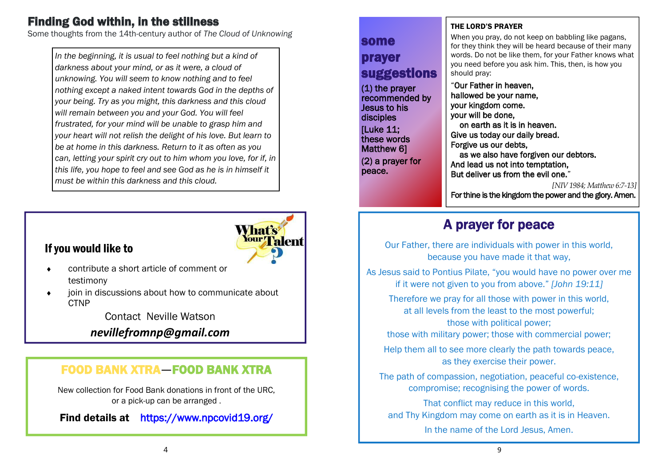### Finding God within, in the stillness

Some thoughts from the 14th-century author of *The Cloud of Unknowing*

*In the beginning, it is usual to feel nothing but a kind of darkness about your mind, or as it were, a cloud of unknowing. You will seem to know nothing and to feel nothing except a naked intent towards God in the depths of your being. Try as you might, this darkness and this cloud will remain between you and your God. You will feel frustrated, for your mind will be unable to grasp him and your heart will not relish the delight of his love. But learn to be at home in this darkness. Return to it as often as you can, letting your spirit cry out to him whom you love, for if, in this life, you hope to feel and see God as he is in himself it must be within this darkness and this cloud.*



#### If you would like to

- contribute a short article of comment or testimony
- join in discussions about how to communicate about CTNP

Contact Neville Watson

*[nevillefromnp@gmail.com](mailto:nevillefromnp@gmail.com)*

### FOOD BANK XTRA—FOOD BANK XTRA

New collection for Food Bank donations in front of the URC, or a pick-up can be arranged .

Find details at <https://www.npcovid19.org/>

#### some prayer suggestions (1) the prayer recommended by Jesus to his disciples [Luke 11: these words Matthew 6] (2) a prayer for peace.

#### THE LORD'S PRAYER

When you pray, do not keep on babbling like pagans, for they think they will be heard because of their many words. Do not be like them, for your Father knows what you need before you ask him. This, then, is how you should pray:

"Our Father in heaven, hallowed be your name, your kingdom come. your will be done, on earth as it is in heaven. Give us today our daily bread. Forgive us our debts, as we also have forgiven our debtors. And lead us not into temptation, But deliver us from the evil one."

*NIV 1984; Matthew 6:7-13* 

For thine is the kingdom the power and the glory. Amen.

## A prayer for peace

Our Father, there are individuals with power in this world, because you have made it that way,

As Jesus said to Pontius Pilate, "you would have no power over me if it were not given to you from above." *[John 19:11]*

Therefore we pray for all those with power in this world, at all levels from the least to the most powerful; those with political power;

those with military power; those with commercial power;

Help them all to see more clearly the path towards peace, as they exercise their power.

The path of compassion, negotiation, peaceful co-existence, compromise; recognising the power of words.

That conflict may reduce in this world, and Thy Kingdom may come on earth as it is in Heaven.

In the name of the Lord Jesus, Amen.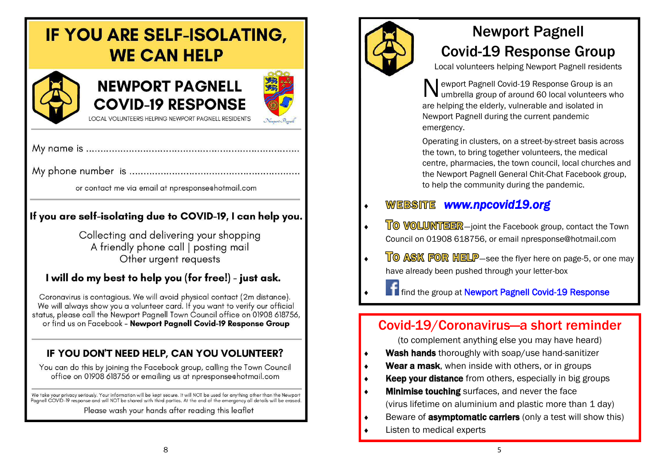## IF YOU ARE SELF-ISOLATING, **WE CAN HELP**



## **NEWPORT PAGNELL COVID-19 RESPONSE**



LOCAL VOLUNTEERS HELPING NEWPORT PAGNELL RESIDENTS

or contact me via email at npresponsechotmail.com

#### If you are self-isolating due to COVID-19, I can help you.

Collecting and delivering your shopping A friendly phone call Lposting mail Other urgent requests

#### I will do my best to help you (for free!) - just ask.

Coronavirus is contagious. We will avoid physical contact (2m distance). We will always show you a volunteer card. If you want to verify our official status, please call the Newport Pagnell Town Council office on 01908 618756, or find us on Facebook - Newport Pagnell Covid-19 Response Group

#### IF YOU DON'T NEED HELP, CAN YOU VOLUNTEER?

You can do this by joining the Facebook group, calling the Town Council office on 01908 618756 or emailing us at npresponsechotmail.com

We take your privacy seriously. Your information will be kept secure. It will NOT be used for anything other than the Newport<br>Pagnell COVID-19 response and will NOT be shared with third parties. At the end of the emergency Please wash your hands after reading this leaflet



## Newport Pagnell Covid-19 Response Group

Local volunteers helping Newport Pagnell residents

Newport Pagnell Covid-19 Response Group is an umbrella group of around 60 local volunteers who are helping the elderly, vulnerable and isolated in Newport Pagnell during the current pandemic emergency.

Operating in clusters, on a street-by-street basis across the town, to bring together volunteers, the medical centre, pharmacies, the town council, local churches and the Newport Pagnell General Chit-Chat Facebook group, to help the community during the pandemic.

#### WEBSITE [www.npcovid19.org](http://www.npcovid19.org)

- **TO VOLUNTEER**—joint the Facebook group, contact the Town Council on 01908 618756, or email npresponse@hotmail.com
- **TO ASK FOR HELP**—see the flyer here on page-5, or one may have already been pushed through your letter-box

**f** find the group at Newport Pagnell Covid-19 Response

### Covid-19/Coronavirus—a short reminder

(to complement anything else you may have heard)

- Wash hands thoroughly with soap/use hand-sanitizer
- Wear a mask, when inside with others, or in groups
- **Keep your distance** from others, especially in big groups
- **Minimise touching** surfaces, and never the face (virus lifetime on aluminium and plastic more than 1 day)
- Beware of **asymptomatic carriers** (only a test will show this)
- Listen to medical experts